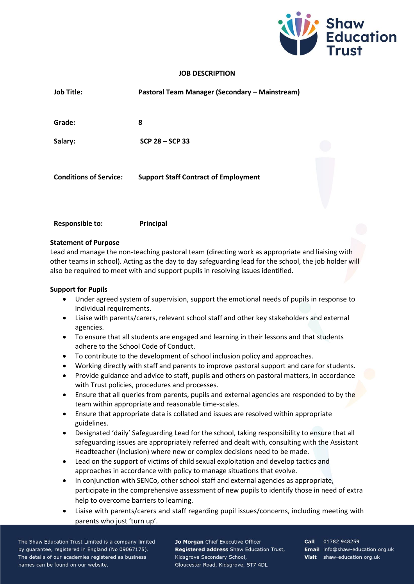

#### **JOB DESCRIPTION**

| <b>Job Title:</b>             | Pastoral Team Manager (Secondary - Mainstream) |  |
|-------------------------------|------------------------------------------------|--|
| Grade:                        | 8                                              |  |
| Salary:                       | $SCP 28 - SCP 33$                              |  |
| <b>Conditions of Service:</b> | <b>Support Staff Contract of Employment</b>    |  |

**Responsible to: Principal**

#### **Statement of Purpose**

Lead and manage the non-teaching pastoral team (directing work as appropriate and liaising with other teams in school). Acting as the day to day safeguarding lead for the school, the job holder will also be required to meet with and support pupils in resolving issues identified.

#### **Support for Pupils**

- Under agreed system of supervision, support the emotional needs of pupils in response to individual requirements.
- Liaise with parents/carers, relevant school staff and other key stakeholders and external agencies.
- To ensure that all students are engaged and learning in their lessons and that students adhere to the School Code of Conduct.
- To contribute to the development of school inclusion policy and approaches.
- Working directly with staff and parents to improve pastoral support and care for students.
- Provide guidance and advice to staff, pupils and others on pastoral matters, in accordance with Trust policies, procedures and processes.
- Ensure that all queries from parents, pupils and external agencies are responded to by the team within appropriate and reasonable time-scales.
- Ensure that appropriate data is collated and issues are resolved within appropriate guidelines.
- Designated 'daily' Safeguarding Lead for the school, taking responsibility to ensure that all safeguarding issues are appropriately referred and dealt with, consulting with the Assistant Headteacher (Inclusion) where new or complex decisions need to be made.
- Lead on the support of victims of child sexual exploitation and develop tactics and approaches in accordance with policy to manage situations that evolve.
- In conjunction with SENCo, other school staff and external agencies as appropriate, participate in the comprehensive assessment of new pupils to identify those in need of extra help to overcome barriers to learning.
- Liaise with parents/carers and staff regarding pupil issues/concerns, including meeting with parents who just 'turn up'.

The Shaw Education Trust Limited is a company limited by guarantee, registered in England (No 09067175). The details of our academies registered as business names can be found on our website.

Jo Morgan Chief Executive Officer Registered address Shaw Education Trust, Kidsgrove Secondary School, Gloucester Road, Kidsgrove, ST7 4DL

Call 01782 948259 Email info@shaw-education.org.uk

Visit shaw-education.org.uk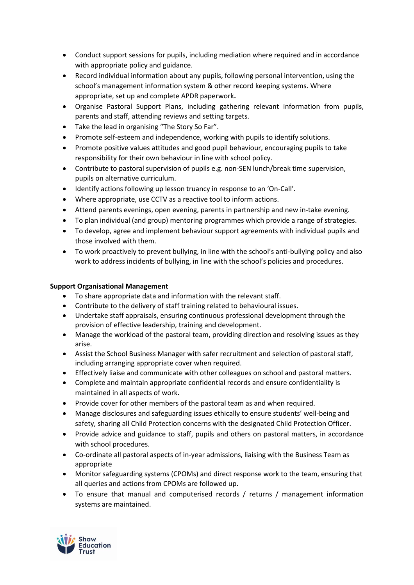- Conduct support sessions for pupils, including mediation where required and in accordance with appropriate policy and guidance.
- Record individual information about any pupils, following personal intervention, using the school's management information system & other record keeping systems. Where appropriate, set up and complete APDR paperwork**.**
- Organise Pastoral Support Plans, including gathering relevant information from pupils, parents and staff, attending reviews and setting targets.
- Take the lead in organising "The Story So Far".
- Promote self-esteem and independence, working with pupils to identify solutions.
- Promote positive values attitudes and good pupil behaviour, encouraging pupils to take responsibility for their own behaviour in line with school policy.
- Contribute to pastoral supervision of pupils e.g. non-SEN lunch/break time supervision, pupils on alternative curriculum.
- Identify actions following up lesson truancy in response to an 'On-Call'.
- Where appropriate, use CCTV as a reactive tool to inform actions.
- Attend parents evenings, open evening, parents in partnership and new in-take evening.
- To plan individual (and group) mentoring programmes which provide a range of strategies.
- To develop, agree and implement behaviour support agreements with individual pupils and those involved with them.
- To work proactively to prevent bullying, in line with the school's anti-bullying policy and also work to address incidents of bullying, in line with the school's policies and procedures.

## **Support Organisational Management**

- To share appropriate data and information with the relevant staff.
- Contribute to the delivery of staff training related to behavioural issues.
- Undertake staff appraisals, ensuring continuous professional development through the provision of effective leadership, training and development.
- Manage the workload of the pastoral team, providing direction and resolving issues as they arise.
- Assist the School Business Manager with safer recruitment and selection of pastoral staff, including arranging appropriate cover when required.
- Effectively liaise and communicate with other colleagues on school and pastoral matters.
- Complete and maintain appropriate confidential records and ensure confidentiality is maintained in all aspects of work.
- Provide cover for other members of the pastoral team as and when required.
- Manage disclosures and safeguarding issues ethically to ensure students' well-being and safety, sharing all Child Protection concerns with the designated Child Protection Officer.
- Provide advice and guidance to staff, pupils and others on pastoral matters, in accordance with school procedures.
- Co-ordinate all pastoral aspects of in-year admissions, liaising with the Business Team as appropriate
- Monitor safeguarding systems (CPOMs) and direct response work to the team, ensuring that all queries and actions from CPOMs are followed up.
- To ensure that manual and computerised records / returns / management information systems are maintained.

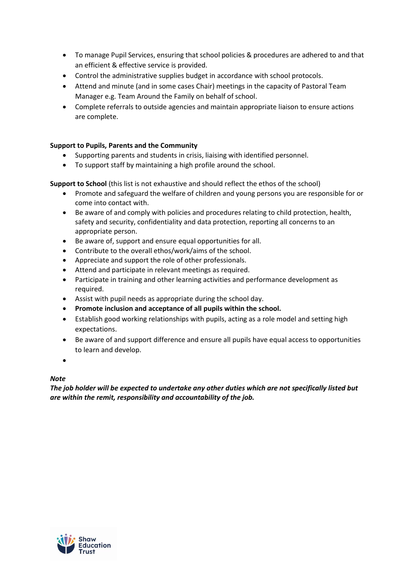- To manage Pupil Services, ensuring that school policies & procedures are adhered to and that an efficient & effective service is provided.
- Control the administrative supplies budget in accordance with school protocols.
- Attend and minute (and in some cases Chair) meetings in the capacity of Pastoral Team Manager e.g. Team Around the Family on behalf of school.
- Complete referrals to outside agencies and maintain appropriate liaison to ensure actions are complete.

### **Support to Pupils, Parents and the Community**

- Supporting parents and students in crisis, liaising with identified personnel.
- To support staff by maintaining a high profile around the school.

**Support to School** (this list is not exhaustive and should reflect the ethos of the school)

- Promote and safeguard the welfare of children and young persons you are responsible for or come into contact with.
- Be aware of and comply with policies and procedures relating to child protection, health, safety and security, confidentiality and data protection, reporting all concerns to an appropriate person.
- Be aware of, support and ensure equal opportunities for all.
- Contribute to the overall ethos/work/aims of the school.
- Appreciate and support the role of other professionals.
- Attend and participate in relevant meetings as required.
- Participate in training and other learning activities and performance development as required.
- Assist with pupil needs as appropriate during the school day.
- **Promote inclusion and acceptance of all pupils within the school.**
- Establish good working relationships with pupils, acting as a role model and setting high expectations.
- Be aware of and support difference and ensure all pupils have equal access to opportunities to learn and develop.

•

### *Note*

*The job holder will be expected to undertake any other duties which are not specifically listed but are within the remit, responsibility and accountability of the job.* 

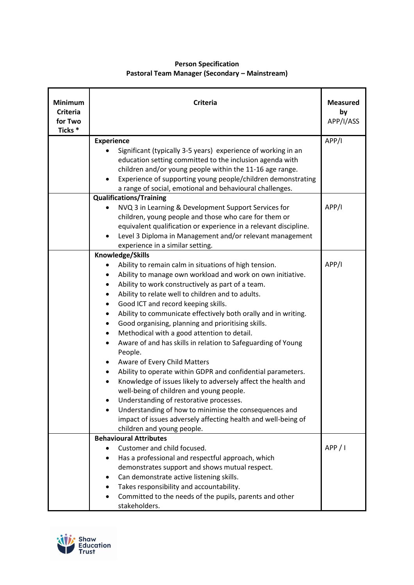# **Person Specification Pastoral Team Manager (Secondary – Mainstream)**

| <b>Minimum</b><br><b>Criteria</b><br>for Two<br>Ticks <sup>*</sup> | <b>Criteria</b>                                                                                                                                                                                                                                                                                                                                                                                                                                                                                                                                                                                                                                                                                                                                                                                                                                                                                                                                                                                  | <b>Measured</b><br>by<br>APP/I/ASS |
|--------------------------------------------------------------------|--------------------------------------------------------------------------------------------------------------------------------------------------------------------------------------------------------------------------------------------------------------------------------------------------------------------------------------------------------------------------------------------------------------------------------------------------------------------------------------------------------------------------------------------------------------------------------------------------------------------------------------------------------------------------------------------------------------------------------------------------------------------------------------------------------------------------------------------------------------------------------------------------------------------------------------------------------------------------------------------------|------------------------------------|
|                                                                    | APP/I<br><b>Experience</b>                                                                                                                                                                                                                                                                                                                                                                                                                                                                                                                                                                                                                                                                                                                                                                                                                                                                                                                                                                       |                                    |
|                                                                    | Significant (typically 3-5 years) experience of working in an<br>education setting committed to the inclusion agenda with<br>children and/or young people within the 11-16 age range.<br>Experience of supporting young people/children demonstrating<br>$\bullet$<br>a range of social, emotional and behavioural challenges.                                                                                                                                                                                                                                                                                                                                                                                                                                                                                                                                                                                                                                                                   |                                    |
|                                                                    | <b>Qualifications/Training</b>                                                                                                                                                                                                                                                                                                                                                                                                                                                                                                                                                                                                                                                                                                                                                                                                                                                                                                                                                                   |                                    |
|                                                                    | NVQ 3 in Learning & Development Support Services for<br>children, young people and those who care for them or<br>equivalent qualification or experience in a relevant discipline.<br>Level 3 Diploma in Management and/or relevant management<br>experience in a similar setting.                                                                                                                                                                                                                                                                                                                                                                                                                                                                                                                                                                                                                                                                                                                | APP/I                              |
|                                                                    | Knowledge/Skills                                                                                                                                                                                                                                                                                                                                                                                                                                                                                                                                                                                                                                                                                                                                                                                                                                                                                                                                                                                 |                                    |
|                                                                    | Ability to remain calm in situations of high tension.<br>Ability to manage own workload and work on own initiative.<br>Ability to work constructively as part of a team.<br>$\bullet$<br>Ability to relate well to children and to adults.<br>٠<br>Good ICT and record keeping skills.<br>٠<br>Ability to communicate effectively both orally and in writing.<br>$\bullet$<br>Good organising, planning and prioritising skills.<br>$\bullet$<br>Methodical with a good attention to detail.<br>Aware of and has skills in relation to Safeguarding of Young<br>People.<br>Aware of Every Child Matters<br>٠<br>Ability to operate within GDPR and confidential parameters.<br>٠<br>Knowledge of issues likely to adversely affect the health and<br>well-being of children and young people.<br>Understanding of restorative processes.<br>Understanding of how to minimise the consequences and<br>impact of issues adversely affecting health and well-being of<br>children and young people. | APP/I                              |
|                                                                    | <b>Behavioural Attributes</b>                                                                                                                                                                                                                                                                                                                                                                                                                                                                                                                                                                                                                                                                                                                                                                                                                                                                                                                                                                    |                                    |
|                                                                    | Customer and child focused.<br>Has a professional and respectful approach, which<br>demonstrates support and shows mutual respect.<br>Can demonstrate active listening skills.<br>Takes responsibility and accountability.<br>Committed to the needs of the pupils, parents and other<br>stakeholders.                                                                                                                                                                                                                                                                                                                                                                                                                                                                                                                                                                                                                                                                                           | APP / I                            |